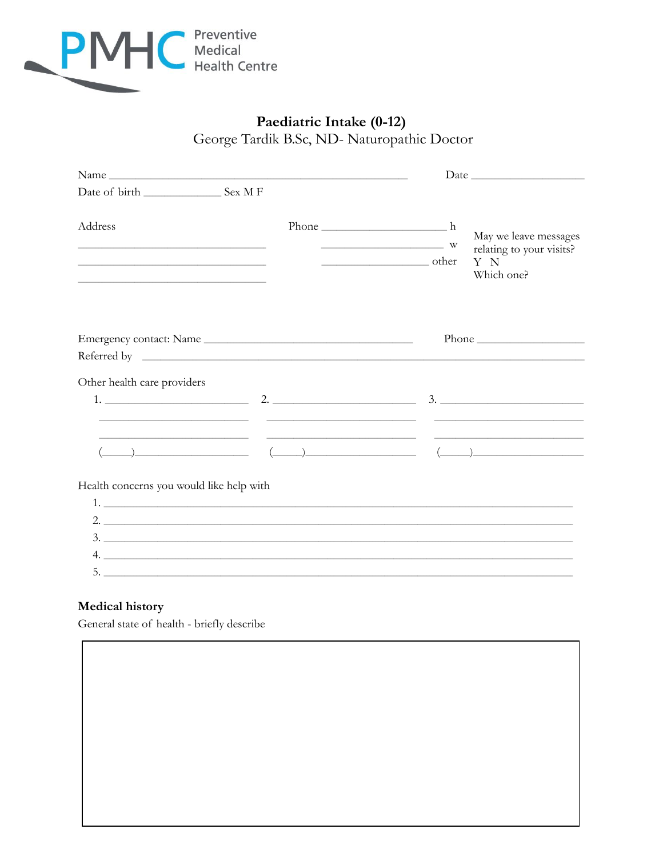

# Paediatric Intake (0-12) George Tardik B.Sc, ND- Naturopathic Doctor

| Address<br>the control of the control of the control of the control of the control of the control of the control of the control of the control of the control of the control of the control of the control of the control of the control | $Phone$ $h$<br>May we leave messages<br>$\overline{\phantom{a}}$ W<br>relating to your visits?<br>other<br>Y N<br>Which one?                                                                                                                                                                                                                                                                                                     |  |  |
|------------------------------------------------------------------------------------------------------------------------------------------------------------------------------------------------------------------------------------------|----------------------------------------------------------------------------------------------------------------------------------------------------------------------------------------------------------------------------------------------------------------------------------------------------------------------------------------------------------------------------------------------------------------------------------|--|--|
| Emergency contact: Name                                                                                                                                                                                                                  |                                                                                                                                                                                                                                                                                                                                                                                                                                  |  |  |
|                                                                                                                                                                                                                                          |                                                                                                                                                                                                                                                                                                                                                                                                                                  |  |  |
| Other health care providers                                                                                                                                                                                                              |                                                                                                                                                                                                                                                                                                                                                                                                                                  |  |  |
|                                                                                                                                                                                                                                          |                                                                                                                                                                                                                                                                                                                                                                                                                                  |  |  |
|                                                                                                                                                                                                                                          | <u>state and the contract of the contract of the contract of the contract of the contract of the contract of the contract of the contract of the contract of the contract of the contract of the contract of the contract of the</u>                                                                                                                                                                                             |  |  |
|                                                                                                                                                                                                                                          | $\qquad \qquad \qquad (\qquad )$                                                                                                                                                                                                                                                                                                                                                                                                 |  |  |
| Health concerns you would like help with                                                                                                                                                                                                 |                                                                                                                                                                                                                                                                                                                                                                                                                                  |  |  |
|                                                                                                                                                                                                                                          | 1. $\overline{\phantom{a}}$ 1. $\overline{\phantom{a}}$ 2. $\overline{\phantom{a}}$ 2. $\overline{\phantom{a}}$ 2. $\overline{\phantom{a}}$ 2. $\overline{\phantom{a}}$ 2. $\overline{\phantom{a}}$ 2. $\overline{\phantom{a}}$ 2. $\overline{\phantom{a}}$ 2. $\overline{\phantom{a}}$ 2. $\overline{\phantom{a}}$ 2. $\overline{\phantom{a}}$ 2. $\overline{\phantom{a}}$ 2. $\overline{\phantom{a}}$ 2. $\overline{\phantom{$ |  |  |
|                                                                                                                                                                                                                                          | 2. $\overline{\phantom{a}}$                                                                                                                                                                                                                                                                                                                                                                                                      |  |  |
|                                                                                                                                                                                                                                          | 3.                                                                                                                                                                                                                                                                                                                                                                                                                               |  |  |
|                                                                                                                                                                                                                                          | 4.                                                                                                                                                                                                                                                                                                                                                                                                                               |  |  |
|                                                                                                                                                                                                                                          | $5.$ $\overline{\phantom{0}}$                                                                                                                                                                                                                                                                                                                                                                                                    |  |  |

### **Medical history**

General state of health - briefly describe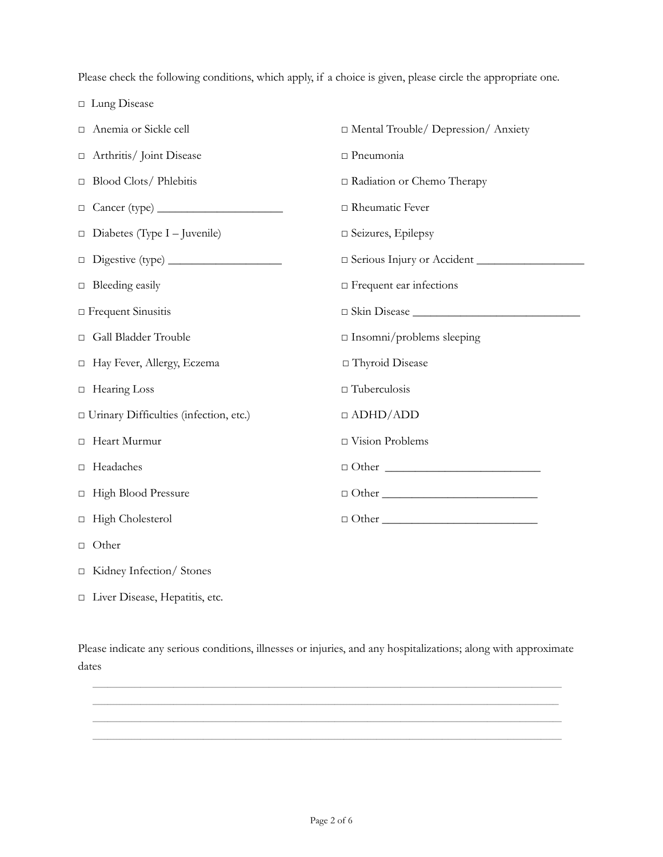Please check the following conditions, which apply, if a choice is given, please circle the appropriate one.

□ Lung Disease

| Anemia or Sickle cell                    | □ Mental Trouble/ Depression/ Anxiety          |
|------------------------------------------|------------------------------------------------|
| □ Arthritis/ Joint Disease               | $\Box$ Pneumonia                               |
| $\Box$ Blood Clots/ Phlebitis            | □ Radiation or Chemo Therapy                   |
|                                          | □ Rheumatic Fever                              |
| $\Box$ Diabetes (Type I - Juvenile)      | □ Seizures, Epilepsy                           |
|                                          | Serious Injury or Accident                     |
| $\Box$ Bleeding easily                   | □ Frequent ear infections                      |
| $\Box$ Frequent Sinusitis                |                                                |
| Gall Bladder Trouble                     | $\Box$ Insomni/problems sleeping               |
| □ Hay Fever, Allergy, Eczema             | □ Thyroid Disease                              |
| $\Box$ Hearing Loss                      | $\Box$ Tuberculosis                            |
| □ Urinary Difficulties (infection, etc.) | $\Box$ ADHD/ADD                                |
| □ Heart Murmur                           | □ Vision Problems                              |
| □ Headaches                              |                                                |
| □ High Blood Pressure                    | $\Box$ $\Box$                                  |
| □ High Cholesterol                       | $\Box \text{ Other } \underline{\hspace{2cm}}$ |
| $\Box$ Other                             |                                                |
| □ Kidney Infection/ Stones               |                                                |

□ Liver Disease, Hepatitis, etc.

Please indicate any serious conditions, illnesses or injuries, and any hospitalizations; along with approximate dates

 $\_$  ,  $\_$  ,  $\_$  ,  $\_$  ,  $\_$  ,  $\_$  ,  $\_$  ,  $\_$  ,  $\_$  ,  $\_$  ,  $\_$  ,  $\_$  ,  $\_$  ,  $\_$  ,  $\_$  ,  $\_$  ,  $\_$  ,  $\_$  ,  $\_$  ,  $\_$  ,  $\_$  ,  $\_$  ,  $\_$  ,  $\_$  ,  $\_$  ,  $\_$  ,  $\_$  ,  $\_$  ,  $\_$  ,  $\_$  ,  $\_$  ,  $\_$  ,  $\_$  ,  $\_$  ,  $\_$  ,  $\_$  ,  $\_$  ,  $\_$  ,  $\_$  ,  $\_$  ,  $\_$  ,  $\_$  ,  $\_$  ,  $\_$  ,  $\_$  ,  $\_$  ,  $\_$  ,  $\_$  ,  $\_$  ,  $\_$  ,  $\_$  ,  $\_$  ,  $\_$  ,  $\_$  ,  $\_$  ,  $\_$  ,  $\_$  ,  $\_$  ,  $\_$  ,  $\_$  ,  $\_$  ,  $\_$  ,  $\_$  ,  $\_$  ,  $\_$  ,  $\_$  ,  $\_$  ,  $\_$  ,  $\_$  ,  $\_$  ,  $\_$  ,  $\_$  ,  $\_$  ,  $\_$  ,  $\_$  , and the state of the state of the state of the state of the state of the state of the state of the state of the state of the state of the state of the state of the state of the state of the state of the state of the  $\_$  , and the state of the state of the state of the state of the state of the state of the state of the state of the state of the state of the state of the state of the state of the state of the state of the state of the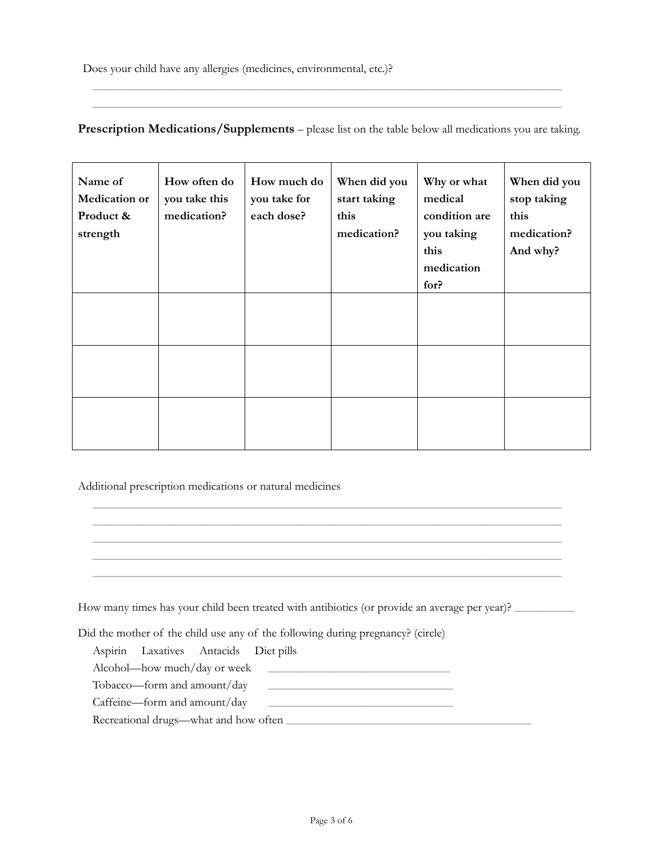## **Prescription Medications/Supplements** – please list on the table below all medications you are taking.

 $\_$  ,  $\_$  ,  $\_$  ,  $\_$  ,  $\_$  ,  $\_$  ,  $\_$  ,  $\_$  ,  $\_$  ,  $\_$  ,  $\_$  ,  $\_$  ,  $\_$  ,  $\_$  ,  $\_$  ,  $\_$  ,  $\_$  ,  $\_$  ,  $\_$  ,  $\_$  ,  $\_$  ,  $\_$  ,  $\_$  ,  $\_$  ,  $\_$  ,  $\_$  ,  $\_$  ,  $\_$  ,  $\_$  ,  $\_$  ,  $\_$  ,  $\_$  ,  $\_$  ,  $\_$  ,  $\_$  ,  $\_$  ,  $\_$  , \_\_\_\_\_\_\_\_\_\_\_\_\_\_\_\_\_\_\_\_\_\_\_\_\_\_\_\_\_\_\_\_\_\_\_\_\_\_\_\_\_\_\_\_\_\_\_\_\_\_\_\_\_\_\_\_\_\_\_\_\_\_\_\_\_\_\_\_\_\_\_\_\_\_\_\_\_\_\_\_\_\_\_\_\_\_\_\_\_\_\_\_\_\_\_\_\_\_\_\_\_\_\_\_\_\_\_\_\_\_\_\_\_\_\_\_\_\_\_\_\_\_\_\_\_\_\_\_\_\_\_\_\_\_\_\_\_\_\_\_\_\_\_\_\_\_\_\_\_\_\_\_\_\_\_\_\_

| Name of<br>Medication or<br>Product &<br>strength | How often do<br>you take this<br>medication? | How much do<br>you take for<br>each dose? | When did you<br>start taking<br>this<br>medication? | Why or what<br>medical<br>condition are<br>you taking<br>this<br>medication<br>for? | When did you<br>stop taking<br>this<br>medication?<br>And why? |
|---------------------------------------------------|----------------------------------------------|-------------------------------------------|-----------------------------------------------------|-------------------------------------------------------------------------------------|----------------------------------------------------------------|
|                                                   |                                              |                                           |                                                     |                                                                                     |                                                                |
|                                                   |                                              |                                           |                                                     |                                                                                     |                                                                |
|                                                   |                                              |                                           |                                                     |                                                                                     |                                                                |

#### Additional prescription medications or natural medicines

|                                            |                                                                                 | How many times has your child been treated with antibiotics (or provide an average per year)? |  |
|--------------------------------------------|---------------------------------------------------------------------------------|-----------------------------------------------------------------------------------------------|--|
|                                            | Did the mother of the child use any of the following during pregnancy? (circle) |                                                                                               |  |
| Aspirin Laxatives Antacids Diet pills      |                                                                                 |                                                                                               |  |
|                                            |                                                                                 |                                                                                               |  |
| Tobacco—form and amount/day                |                                                                                 |                                                                                               |  |
| Caffeine—form and amount/day               |                                                                                 |                                                                                               |  |
| Recreational drugs—what and how often ____ |                                                                                 |                                                                                               |  |

\_\_\_\_\_\_\_\_\_\_\_\_\_\_\_\_\_\_\_\_\_\_\_\_\_\_\_\_\_\_\_\_\_\_\_\_\_\_\_\_\_\_\_\_\_\_\_\_\_\_\_\_\_\_\_\_\_\_\_\_\_\_\_\_\_\_\_\_\_\_\_\_\_\_\_\_\_\_\_\_\_\_\_\_\_\_\_\_\_\_\_\_\_\_\_\_\_\_\_\_\_\_\_\_\_\_\_\_\_\_\_\_\_\_\_\_\_\_\_\_\_\_\_\_\_\_\_\_\_\_\_\_\_\_\_\_\_\_\_\_\_\_\_\_\_\_\_\_\_\_\_\_\_\_\_\_\_

 $\_$  , and the state of the state of the state of the state of the state of the state of the state of the state of the state of the state of the state of the state of the state of the state of the state of the state of the  $\_$  , and the state of the state of the state of the state of the state of the state of the state of the state of the state of the state of the state of the state of the state of the state of the state of the state of the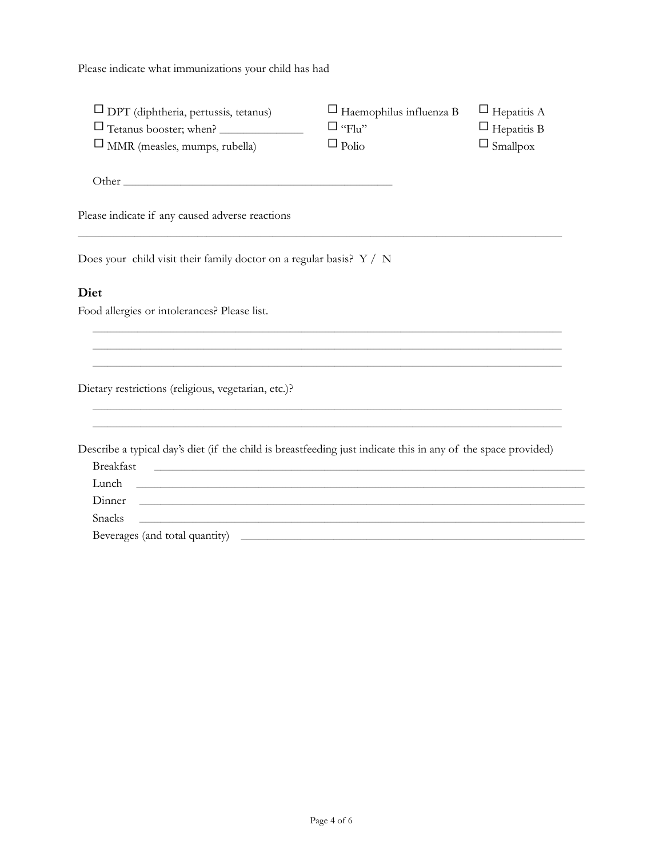Please indicate what immunizations your child has had

| $\Box$ DPT (diphtheria, pertussis, tetanus)<br>Tetanus booster; when?                                                                     | $\Box$ Haemophilus influenza B<br>$\square$ "Flu" | $\Box$ Hepatitis A<br>$\Box$ Hepatitis B |
|-------------------------------------------------------------------------------------------------------------------------------------------|---------------------------------------------------|------------------------------------------|
| $\square$ MMR (measles, mumps, rubella)                                                                                                   | $\Box$ Polio                                      | $\Box$ Smallpox                          |
|                                                                                                                                           |                                                   |                                          |
| Please indicate if any caused adverse reactions                                                                                           |                                                   |                                          |
| Does your child visit their family doctor on a regular basis? $Y / N$                                                                     |                                                   |                                          |
| Diet                                                                                                                                      |                                                   |                                          |
| Food allergies or intolerances? Please list.                                                                                              |                                                   |                                          |
|                                                                                                                                           |                                                   |                                          |
|                                                                                                                                           |                                                   |                                          |
| Dietary restrictions (religious, vegetarian, etc.)?                                                                                       |                                                   |                                          |
| Describe a typical day's diet (if the child is breastfeeding just indicate this in any of the space provided)                             |                                                   |                                          |
| <b>Breakfast</b><br><u> 1990 - Johann John Stone, markin sammen beskriuwer oan de ferskeinde fan de ferskeinde fan de ferskeinde fan </u> |                                                   |                                          |
| Lunch                                                                                                                                     |                                                   |                                          |
| Dinner<br>,我们也不会有什么。""我们的人,我们也不会有什么?""我们的人,我们也不会有什么?""我们的人,我们也不会有什么?""我们的人,我们也不会有什么?""我们的人                                                |                                                   |                                          |
| Snacks<br><u> 1989 - Johann Stoff, deutscher Stoff, der Stoff, der Stoff, der Stoff, der Stoff, der Stoff, der Stoff, der S</u>           |                                                   |                                          |
|                                                                                                                                           |                                                   |                                          |
|                                                                                                                                           |                                                   |                                          |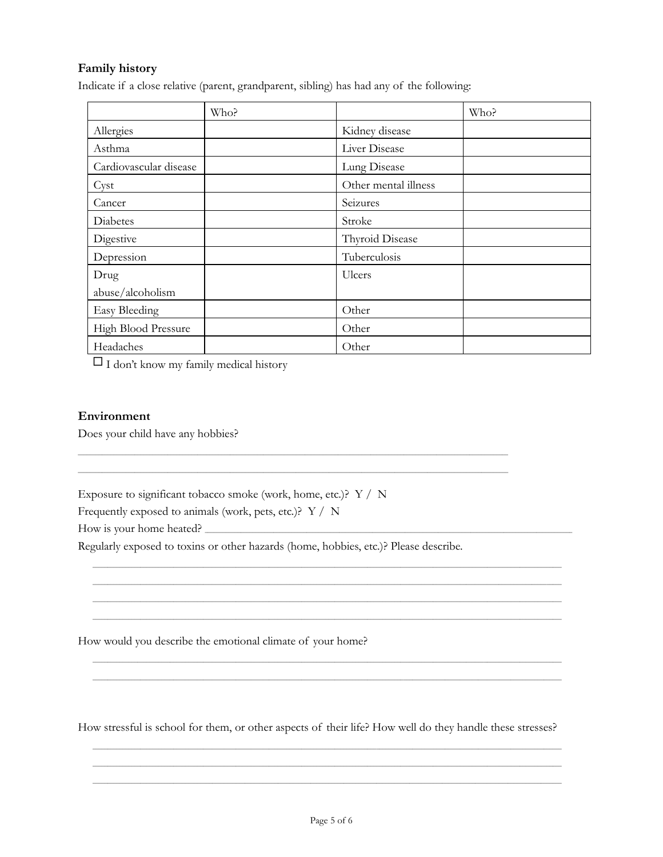### Family history

Indicate if a close relative (parent, grandparent, sibling) has had any of the following:

|                        | Who? |                      | Who? |
|------------------------|------|----------------------|------|
| Allergies              |      | Kidney disease       |      |
| Asthma                 |      | Liver Disease        |      |
| Cardiovascular disease |      | Lung Disease         |      |
| Cyst                   |      | Other mental illness |      |
| Cancer                 |      | Seizures             |      |
| Diabetes               |      | Stroke               |      |
| Digestive              |      | Thyroid Disease      |      |
| Depression             |      | Tuberculosis         |      |
| Drug                   |      | Ulcers               |      |
| abuse/alcoholism       |      |                      |      |
| <b>Easy Bleeding</b>   |      | Other                |      |
| High Blood Pressure    |      | Other                |      |
| Headaches              |      | Other                |      |

 $\Box$  I don't know my family medical history

#### Environment

Does your child have any hobbies?

Exposure to significant tobacco smoke (work, home, etc.)? Y / N

Frequently exposed to animals (work, pets, etc.)? Y / N

How is your home heated?

Regularly exposed to toxins or other hazards (home, hobbies, etc.)? Please describe.

How would you describe the emotional climate of your home?

How stressful is school for them, or other aspects of their life? How well do they handle these stresses?